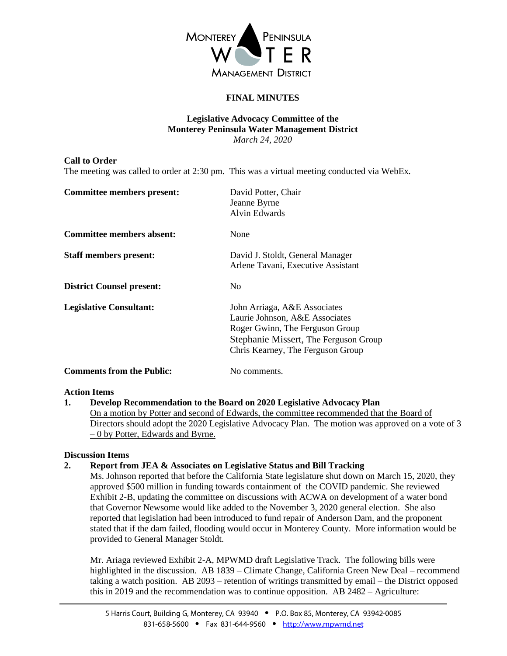

# **FINAL MINUTES**

### **Legislative Advocacy Committee of the Monterey Peninsula Water Management District** *March 24, 2020*

#### **Call to Order**

The meeting was called to order at 2:30 pm. This was a virtual meeting conducted via WebEx.

| <b>Committee members present:</b> | David Potter, Chair<br>Jeanne Byrne<br>Alvin Edwards                                                                                                                            |
|-----------------------------------|---------------------------------------------------------------------------------------------------------------------------------------------------------------------------------|
| <b>Committee members absent:</b>  | None                                                                                                                                                                            |
| <b>Staff members present:</b>     | David J. Stoldt, General Manager<br>Arlene Tavani, Executive Assistant                                                                                                          |
| <b>District Counsel present:</b>  | N <sub>0</sub>                                                                                                                                                                  |
| <b>Legislative Consultant:</b>    | John Arriaga, A&E Associates<br>Laurie Johnson, A&E Associates<br>Roger Gwinn, The Ferguson Group<br>Stephanie Missert, The Ferguson Group<br>Chris Kearney, The Ferguson Group |
| <b>Comments from the Public:</b>  | No comments.                                                                                                                                                                    |

#### **Action Items**

**1. Develop Recommendation to the Board on 2020 Legislative Advocacy Plan** On a motion by Potter and second of Edwards, the committee recommended that the Board of Directors should adopt the 2020 Legislative Advocacy Plan. The motion was approved on a vote of 3 – 0 by Potter, Edwards and Byrne.

#### **Discussion Items**

#### **2. Report from JEA & Associates on Legislative Status and Bill Tracking**

Ms. Johnson reported that before the California State legislature shut down on March 15, 2020, they approved \$500 million in funding towards containment of the COVID pandemic. She reviewed Exhibit 2-B, updating the committee on discussions with ACWA on development of a water bond that Governor Newsome would like added to the November 3, 2020 general election. She also reported that legislation had been introduced to fund repair of Anderson Dam, and the proponent stated that if the dam failed, flooding would occur in Monterey County. More information would be provided to General Manager Stoldt.

Mr. Ariaga reviewed Exhibit 2-A, MPWMD draft Legislative Track. The following bills were highlighted in the discussion. AB 1839 – Climate Change, California Green New Deal – recommend taking a watch position. AB 2093 – retention of writings transmitted by email – the District opposed this in 2019 and the recommendation was to continue opposition. AB 2482 – Agriculture: